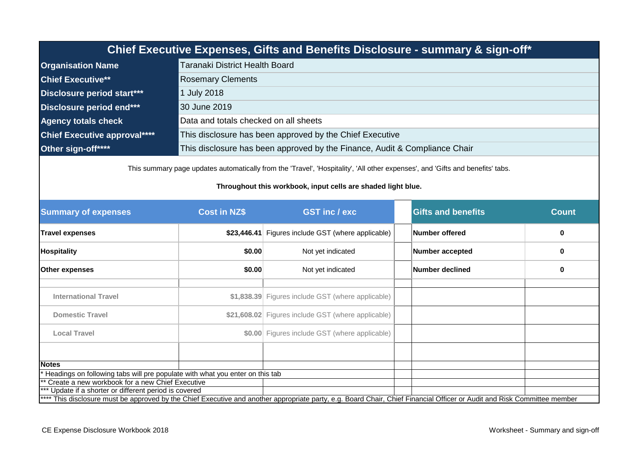|                                                                                                                                 |                                                                                                                                                                                                | Chief Executive Expenses, Gifts and Benefits Disclosure - summary & sign-off* |                           |              |  |  |  |
|---------------------------------------------------------------------------------------------------------------------------------|------------------------------------------------------------------------------------------------------------------------------------------------------------------------------------------------|-------------------------------------------------------------------------------|---------------------------|--------------|--|--|--|
| <b>Organisation Name</b>                                                                                                        | <b>Taranaki District Health Board</b>                                                                                                                                                          |                                                                               |                           |              |  |  |  |
| <b>Chief Executive**</b>                                                                                                        | <b>Rosemary Clements</b>                                                                                                                                                                       |                                                                               |                           |              |  |  |  |
| <b>Disclosure period start***</b>                                                                                               | 1 July 2018                                                                                                                                                                                    |                                                                               |                           |              |  |  |  |
| <b>Disclosure period end***</b>                                                                                                 | 30 June 2019                                                                                                                                                                                   |                                                                               |                           |              |  |  |  |
| <b>Agency totals check</b>                                                                                                      | Data and totals checked on all sheets                                                                                                                                                          |                                                                               |                           |              |  |  |  |
| <b>Chief Executive approval****</b>                                                                                             |                                                                                                                                                                                                | This disclosure has been approved by the Chief Executive                      |                           |              |  |  |  |
| Other sign-off****                                                                                                              |                                                                                                                                                                                                | This disclosure has been approved by the Finance, Audit & Compliance Chair    |                           |              |  |  |  |
|                                                                                                                                 | This summary page updates automatically from the 'Travel', 'Hospitality', 'All other expenses', and 'Gifts and benefits' tabs.<br>Throughout this workbook, input cells are shaded light blue. |                                                                               |                           |              |  |  |  |
| <b>Summary of expenses</b>                                                                                                      | <b>Cost in NZ\$</b>                                                                                                                                                                            | <b>GST inc / exc</b>                                                          | <b>Gifts and benefits</b> | <b>Count</b> |  |  |  |
| <b>Travel expenses</b>                                                                                                          | \$23,446.41                                                                                                                                                                                    | Figures include GST (where applicable)                                        | Number offered            | 0            |  |  |  |
| <b>Hospitality</b>                                                                                                              | \$0.00                                                                                                                                                                                         | Not yet indicated                                                             | Number accepted           | $\bf{0}$     |  |  |  |
| <b>Other expenses</b>                                                                                                           | \$0.00                                                                                                                                                                                         | Not yet indicated                                                             | Number declined           | 0            |  |  |  |
| <b>International Travel</b>                                                                                                     |                                                                                                                                                                                                | \$1,838.39 Figures include GST (where applicable)                             |                           |              |  |  |  |
| <b>Domestic Travel</b>                                                                                                          |                                                                                                                                                                                                | \$21,608.02 Figures include GST (where applicable)                            |                           |              |  |  |  |
| <b>Local Travel</b>                                                                                                             |                                                                                                                                                                                                | \$0.00 Figures include GST (where applicable)                                 |                           |              |  |  |  |
|                                                                                                                                 |                                                                                                                                                                                                |                                                                               |                           |              |  |  |  |
| <b>Notes</b>                                                                                                                    |                                                                                                                                                                                                |                                                                               |                           |              |  |  |  |
| Headings on following tabs will pre populate with what you enter on this tab<br>Create a new workbook for a new Chief Executive |                                                                                                                                                                                                |                                                                               |                           |              |  |  |  |
| *** Ula deta if e elementra en diffensat nombre dio escreved                                                                    |                                                                                                                                                                                                |                                                                               |                           |              |  |  |  |

Update if a shorter or different period is covered \*\*\*\* This disclosure must be approved by the Chief Executive and another appropriate party, e.g. Board Chair, Chief Financial Officer or Audit and Risk Committee member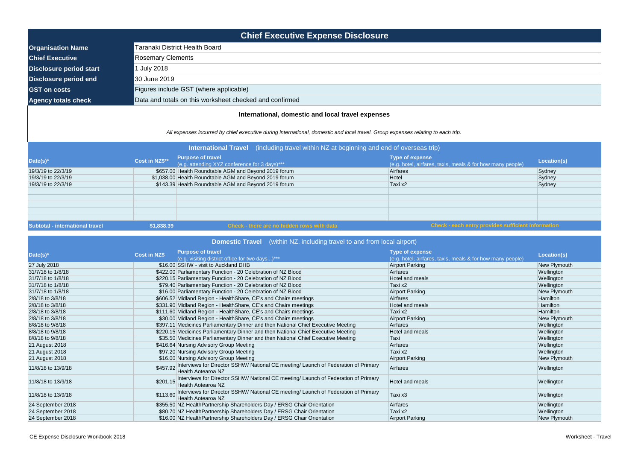| <b>Chief Executive Expense Disclosure</b> |                                                         |  |  |  |  |  |
|-------------------------------------------|---------------------------------------------------------|--|--|--|--|--|
| <b>Organisation Name</b>                  | Taranaki District Health Board                          |  |  |  |  |  |
| <b>Chief Executive</b>                    | <b>Rosemary Clements</b>                                |  |  |  |  |  |
| Disclosure period start                   | 1 July 2018                                             |  |  |  |  |  |
| <b>Disclosure period end</b>              | 30 June 2019                                            |  |  |  |  |  |
| <b>GST on costs</b>                       | Figures include GST (where applicable)                  |  |  |  |  |  |
| <b>Agency totals check</b>                | Data and totals on this worksheet checked and confirmed |  |  |  |  |  |
|                                           |                                                         |  |  |  |  |  |

| Date(s) $*$        | <b>Purpose of travel</b><br><b>Cost in NZ\$</b>                                                                          | <b>Type of expense</b>                                     | Location(s)     |
|--------------------|--------------------------------------------------------------------------------------------------------------------------|------------------------------------------------------------|-----------------|
|                    | (e.g. visiting district office for two days)***                                                                          | (e.g. hotel, airfares, taxis, meals & for how many people) |                 |
| 27 July 2018       | \$16.00 SSHW - visit to Auckland DHB                                                                                     | <b>Airport Parking</b>                                     | New Plymouth    |
| 31/7/18 to 1/8/18  | \$422.00 Parliamentary Function - 20 Celebration of NZ Blood                                                             | <b>Airfares</b>                                            | Wellington      |
| 31/7/18 to 1/8/18  | \$220.15 Parliamentary Function - 20 Celebration of NZ Blood                                                             | Hotel and meals                                            | Wellington      |
| 31/7/18 to 1/8/18  | \$79.40 Parliamentary Function - 20 Celebration of NZ Blood                                                              | Taxi x2                                                    | Wellington      |
| 31/7/18 to 1/8/18  | \$16.00 Parliamentary Function - 20 Celebration of NZ Blood                                                              | Airport Parking                                            | New Plymouth    |
| 2/8/18 to 3/8/18   | \$606.52 Midland Region - HealthShare, CE's and Chairs meetings                                                          | <b>Airfares</b>                                            | <b>Hamilton</b> |
| 2/8/18 to 3/8/18   | \$331.90 Midland Region - HealthShare, CE's and Chairs meetings                                                          | Hotel and meals                                            | Hamilton        |
| 2/8/18 to 3/8/18   | \$111.60 Midland Region - HealthShare, CE's and Chairs meetings                                                          | Taxi x2                                                    | Hamilton        |
| 2/8/18 to 3/8/18   | \$30.00 Midland Region - HealthShare, CE's and Chairs meetings                                                           | <b>Airport Parking</b>                                     | New Plymouth    |
| 8/8/18 to 9/8/18   | \$397.11 Medicines Parliamentary Dinner and then National Chief Executive Meeting                                        | Airfares                                                   | Wellington      |
| 8/8/18 to 9/8/18   | \$220.15 Medicines Parliamentary Dinner and then National Chief Executive Meeting                                        | Hotel and meals                                            | Wellington      |
| 8/8/18 to 9/8/18   | \$35.50 Medicines Parliamentary Dinner and then National Chief Executive Meeting                                         | Taxi                                                       | Wellington      |
| 21 August 2018     | \$416.64 Nursing Advisory Group Meeting                                                                                  | Airfares                                                   | Wellington      |
| 21 August 2018     | \$97.20 Nursing Advisory Group Meeting                                                                                   | Taxi x2                                                    | Wellington      |
| 21 August 2018     | \$16.00 Nursing Advisory Group Meeting                                                                                   | <b>Airport Parking</b>                                     | New Plymouth    |
| 11/8/18 to 13/9/18 | Interviews for Director SSHW/ National CE meeting/ Launch of Federation of Primary<br>\$457.92 Health Aotearoa NZ        | Airfares                                                   | Wellington      |
| 11/8/18 to 13/9/18 | \$201.15 Interviews for Director SSHW/ National CE meeting/ Launch of Federation of Primary<br><b>Health Aotearoa NZ</b> | <b>Hotel and meals</b>                                     | Wellington      |
| 11/8/18 to 13/9/18 | Interviews for Director SSHW/ National CE meeting/ Launch of Federation of Primary<br>\$113.60 Health Aotearoa NZ        | Taxi x3                                                    | Wellington      |
| 24 September 2018  | \$355.50 NZ HealthPartnership Shareholders Day / ERSG Chair Orientation                                                  | Airfares                                                   | Wellington      |
| 24 September 2018  | \$80.70 NZ Health Partnership Shareholders Day / ERSG Chair Orientation                                                  | Taxi x2                                                    | Wellington      |
| 24 September 2018  | \$16.00 NZ Health Partnership Shareholders Day / ERSG Chair Orientation                                                  | <b>Airport Parking</b>                                     | New Plymouth    |

| <b>International Travel</b> (including travel within NZ at beginning and end of overseas trip) |                |                                                                           |                                                                                      |             |  |  |
|------------------------------------------------------------------------------------------------|----------------|---------------------------------------------------------------------------|--------------------------------------------------------------------------------------|-------------|--|--|
| Date(s)*                                                                                       | Cost in NZ\$** | <b>Purpose of travel</b><br>(e.g. attending XYZ conference for 3 days)*** | <b>Type of expense</b><br>(e.g. hotel, airfares, taxis, meals & for how many people) | Location(s) |  |  |
| 19/3/19 to 22/3/19                                                                             |                | \$657.00 Health Roundtable AGM and Beyond 2019 forum                      | Airfares                                                                             | Sydney      |  |  |
| 19/3/19 to 22/3/19                                                                             |                | \$1,038.00 Health Roundtable AGM and Beyond 2019 forum                    | Hotel                                                                                | Sydney      |  |  |
| 19/3/19 to 22/3/19                                                                             |                | \$143.39 Health Roundtable AGM and Beyond 2019 forum                      | Taxi x2                                                                              | Sydney      |  |  |
|                                                                                                |                |                                                                           |                                                                                      |             |  |  |
|                                                                                                |                |                                                                           |                                                                                      |             |  |  |
|                                                                                                |                |                                                                           |                                                                                      |             |  |  |
|                                                                                                |                |                                                                           |                                                                                      |             |  |  |
|                                                                                                |                |                                                                           |                                                                                      |             |  |  |
| <b>Subtotal - international travel</b>                                                         | \$1,838.39     | Check - there are no hidden rows with data                                | Check - each entry provides sufficient information                                   |             |  |  |

| <b>Domestic Travel</b> (within NZ, including travel to and from local airport) |  |  |  |
|--------------------------------------------------------------------------------|--|--|--|

## **International, domestic and local travel expenses**

*All expenses incurred by chief executive during international, domestic and local travel. Group expenses relating to each trip.*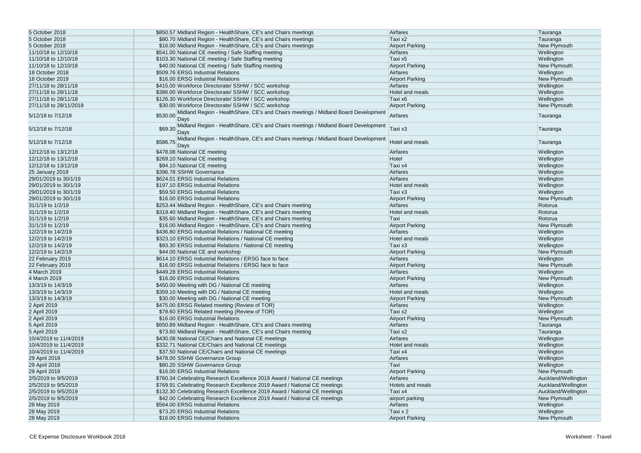| 5 October 2018         | \$850.57 Midland Region - HealthShare, CE's and Chairs meetings                                       | Airfares               | Tauranga            |
|------------------------|-------------------------------------------------------------------------------------------------------|------------------------|---------------------|
| 5 October 2018         | \$80.70 Midland Region - HealthShare, CE's and Chairs meetings                                        | Taxi x2                | Tauranga            |
| 5 October 2018         | \$16.00 Midland Region - HealthShare, CE's and Chairs meetings                                        |                        |                     |
|                        |                                                                                                       | <b>Airport Parking</b> | New Plymouth        |
| 11/10/18 to 12/10/18   | \$541.00 National CE meeting / Safe Staffing meeting                                                  | Airfares               | Wellington          |
| 11/10/18 to 12/10/18   | \$103.30 National CE meeting / Safe Staffing meeting                                                  | Taxi x5                | Wellington          |
| 11/10/18 to 12/10/18   | \$40.00 National CE meeting / Safe Staffing meeting                                                   | <b>Airport Parking</b> | New Plymouth        |
| 18 October 2018        | \$509.76 ERSG Industrial Relations                                                                    | Airfares               | Wellington          |
| 18 October 2019        | \$16.00 ERSG Industrial Relations                                                                     | <b>Airport Parking</b> | New Plymouth        |
| 27/11/18 to 28/11/18   | \$415.00 Workforce Directorate/ SSHW / SCC workshop                                                   | Airfares               | Wellington          |
| 27/11/18 to 28/11/18   | \$386.00 Workforce Directorate/ SSHW / SCC workshop                                                   | Hotel and meals        | Wellington          |
| 27/11/18 to 28/11/18   | \$126.30 Workforce Directorate/ SSHW / SCC workshop                                                   | Taxi x6                | Wellington          |
| 27/11/18 to 28/11/2018 | \$30.00 Workforce Directorate/ SSHW / SCC workshop                                                    | <b>Airport Parking</b> | New Plymouth        |
|                        | Midland Region - HealthShare, CE's and Chairs meetings / Midland Board Development                    |                        |                     |
| 5/12/18 to 7/12/18     | \$530.00<br>Days                                                                                      | Airfares               | Tauranga            |
| 5/12/18 to 7/12/18     | Midland Region - HealthShare, CE's and Chairs meetings / Midland Board Development<br>\$69.30<br>Days | Taxi x3                | Tauranga            |
| 5/12/18 to 7/12/18     | Midland Region - HealthShare, CE's and Chairs meetings / Midland Board Development<br>\$586.75 Days   | Hotel and meals        | Tauranga            |
| 12/12/18 to 13/12/18   | \$478.08 National CE meeting                                                                          | Airfares               | Wellington          |
| 12/12/18 to 13/12/18   | \$269.10 National CE meeting                                                                          | Hotel                  | Wellington          |
| 12/12/18 to 13/12/18   | \$94.10 National CE meeting                                                                           | Taxi x4                | Wellington          |
| 25 January 2019        | \$396.78 SSHW Governance                                                                              | Airfares               | Wellington          |
| 29/01/2019 to 30/1/19  | \$624.01 ERSG Industrial Relations                                                                    | Airfares               | Wellington          |
|                        | \$197.10 ERSG Industrial Relations                                                                    |                        |                     |
| 29/01/2019 to 30/1/19  |                                                                                                       | Hotel and meals        | Wellington          |
| 29/01/2019 to 30/1/19  | \$59.50 ERSG Industrial Relations                                                                     | Taxi x3                | Wellington          |
| 29/01/2019 to 30/1/19  | \$16.00 ERSG Industrial Relations                                                                     | <b>Airport Parking</b> | New Plymouth        |
| 31/1/19 to 1/2/19      | \$253.44 Midland Region - HealthShare, CE's and Chairs meeting                                        | Airfares               | Rotorua             |
| 31/1/19 to 1/2/19      | \$319.40 Midland Region - HealthShare, CE's and Chairs meeting                                        | Hotel and meals        | Rotorua             |
| 31/1/19 to 1/2/19      | \$35.60 Midland Region - HealthShare, CE's and Chairs meeting                                         | Taxi                   | Rotorua             |
| 31/1/19 to 1/2/19      | \$16.00 Midland Region - HealthShare, CE's and Chairs meeting                                         | <b>Airport Parking</b> | New Plymouth        |
| 12/2/19 to 14/2/19     | \$436.80 ERSG Industrial Relations / National CE meeting                                              | Airfares               | Wellington          |
| 12/2/19 to 14/2/19     | \$323.10 ERSG Industrial Relations / National CE meeting                                              | Hotel and meals        | Wellington          |
| 12/2/19 to 14/2/19     | \$93.30 ERSG Industrial Relations / National CE meeting                                               | Taxi x3                | Wellington          |
| 12/2/19 to 14/2/19     | \$44.00 National CE and workshop                                                                      | <b>Airport Parking</b> | New Plymouth        |
| 22 February 2019       | \$614.10 ERSG Industrial Relations / ERSG face to face                                                | Airfares               | Wellington          |
|                        | \$16.00 ERSG Industrial Relations / ERSG face to face                                                 | <b>Airport Parking</b> |                     |
| 22 February 2019       |                                                                                                       |                        | New Plymouth        |
| 4 March 2019           | \$449.28 ERSG Industrial Relations                                                                    | Airfares               | Wellington          |
| 4 March 2019           | \$16.00 ERSG Industrial Relations                                                                     | <b>Airport Parking</b> | New Plymouth        |
| 13/3/19 to 14/3/19     | \$450.00 Meeting with DG / National CE meeting                                                        | Airfares               | Wellington          |
| 13/3/19 to 14/3/19     | \$359.10 Meeting with DG / National CE meeting                                                        | Hotel and meals        | Wellington          |
| 13/3/19 to 14/3/19     | \$30.00 Meeting with DG / National CE meeting                                                         | <b>Airport Parking</b> | New Plymouth        |
| 2 April 2019           | \$475.00 ERSG Related meeting (Review of TOR)                                                         | Airfares               | Wellington          |
| 2 April 2019           | \$78.60 ERSG Related meeting (Review of TOR)                                                          | Taxi x2                | Wellington          |
| 2 April 2019           | \$16.00 ERSG Industrial Relations                                                                     | <b>Airport Parking</b> | New Plymouth        |
| 5 April 2019           | \$650.89 Midland Region - HealthShare, CE's and Chairs meeting                                        | Airfares               | Tauranga            |
| 5 April 2019           | \$73.60 Midland Region - HealthShare, CE's and Chairs meeting                                         | Taxi x2                | Tauranga            |
| 10/4/2019 to 11/4/2019 | \$430.08 National CE/Chairs and National CE meetings                                                  | Airfares               | Wellington          |
| 10/4/2019 to 11/4/2019 | \$332.71 National CE/Chairs and National CE meetings                                                  | Hotel and meals        |                     |
|                        |                                                                                                       |                        | Wellington          |
| 10/4/2019 to 11/4/2019 | \$37.50 National CE/Chairs and National CE meetings                                                   | Taxi x4                | Wellington          |
| 29 April 2019          | \$478.00 SSHW Governance Group                                                                        | Airfares               | Wellington          |
| 29 April 2019          | \$80.20 SSHW Governance Group                                                                         | Taxi                   | Wellington          |
| 29 April 2019          | \$16.00 ERSG Industrial Relations                                                                     | <b>Airport Parking</b> | New Plymouth        |
| 2/5/2019 to 9/5/2019   | \$760.34 Celebrating Research Excellence 2019 Award / National CE meetings                            | Airfares               | Auckland/Wellington |
| 2/5/2019 to 9/5/2019   | \$769.91 Celebrating Research Excellence 2019 Award / National CE meetings                            | Hotels and meals       | Auckland/Wellington |
| 2/5/2019 to 9/5/2019   | \$132.30 Celebrating Research Excellence 2019 Award / National CE meetings                            | Taxi x4                | Auckland/Wellington |
| 2/5/2019 to 9/5/2019   | \$42.00 Celebrating Research Excellence 2019 Award / National CE meetings                             | airport parking        | New Plymouth        |
| 28 May 2019            | \$564.00 ERSG Industrial Relations                                                                    | Airfares               | Wellington          |
| 28 May 2019            | \$73.20 ERSG Industrial Relations                                                                     | Taxi x 2               | Wellington          |
| 28 May 2019            | \$16.00 ERSG Industrial Relations                                                                     | <b>Airport Parking</b> | New Plymouth        |
|                        |                                                                                                       |                        |                     |

| Tauranga                 |
|--------------------------|
| Tauranga                 |
| New Plymouth             |
| Wellington               |
| Wellington               |
| <b>New Plymouth</b>      |
| Wellington               |
| New Plymouth             |
| Wellington               |
| Wellington               |
| Wellington               |
| New Plymouth             |
| Tauranga                 |
| Tauranga                 |
| Tauranga                 |
| Wellington               |
| Wellington               |
| Wellington               |
| Wellington               |
| Wellington               |
| Wellington               |
| Wellington               |
| New Plymouth             |
| Rotorua                  |
| Rotorua                  |
| Rotorua                  |
| New Plymouth             |
| Wellington               |
| Wellington               |
| Wellington               |
| New Plymouth             |
| Wellington               |
| New Plymouth             |
| Wellington               |
| New Plymouth             |
| Wellington               |
| Wellington               |
| <b>New Plymouth</b>      |
| Wellington               |
| Wellington               |
| New Plymouth             |
| Tauranga                 |
| Tauranga                 |
| Wellington               |
| Wellington               |
| Wellington<br>Wellington |
| Wellington               |
| New Plymouth             |
| Auckland/Wellington      |
| Auckland/Wellington      |
| Auckland/Wellington      |
| New Plymouth             |
| Wellington               |
| Wellington               |
| <b>New Plymouth</b>      |
|                          |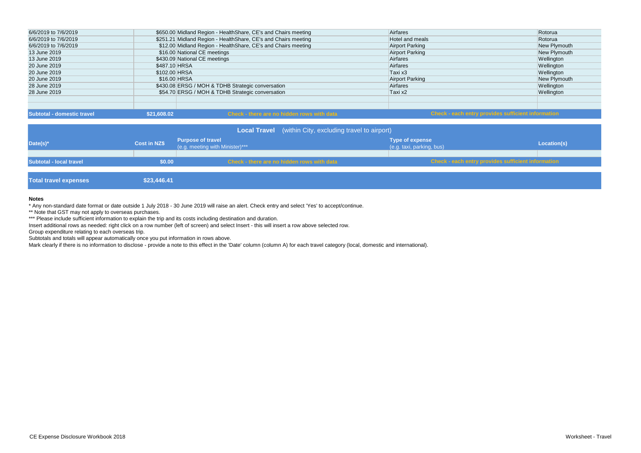| <b>Subtotal - domestic travel</b> | \$21,608.02                   | Check - there are no hidden rows with data                     |                        | <b>Check - each entry provides sufficient information</b> |
|-----------------------------------|-------------------------------|----------------------------------------------------------------|------------------------|-----------------------------------------------------------|
|                                   |                               |                                                                |                        |                                                           |
| 28 June 2019                      |                               | \$54.70 ERSG / MOH & TDHB Strategic conversation               | Taxi x2                | Wellington                                                |
| 28 June 2019                      |                               | \$430.08 ERSG / MOH & TDHB Strategic conversation              | Airfares               | Wellington                                                |
| 20 June 2019                      | \$16.00 HRSA                  |                                                                | <b>Airport Parking</b> | New Plymouth                                              |
| 20 June 2019                      | \$102.00 HRSA                 |                                                                | Taxi x3                | Wellington                                                |
| 20 June 2019                      | \$487.10 HRSA                 |                                                                | Airfares               | Wellington                                                |
| 13 June 2019                      | \$430.09 National CE meetings |                                                                | Airfares               | Wellington                                                |
| 13 June 2019                      | \$16.00 National CE meetings  |                                                                | <b>Airport Parking</b> | New Plymouth                                              |
| 6/6/2019 to 7/6/2019              |                               | \$12.00 Midland Region - Health Share, CE's and Chairs meeting | <b>Airport Parking</b> | New Plymouth                                              |
| 6/6/2019 to 7/6/2019              |                               | \$251.21 Midland Region - HealthShare, CE's and Chairs meeting | Hotel and meals        | Rotorua                                                   |
| 6/6/2019 to 7/6/2019              |                               | \$650.00 Midland Region - HealthShare, CE's and Chairs meeting | Airfares               | Rotorua                                                   |

## **Notes**

\* Any non-standard date format or date outside 1 July 2018 - 30 June 2019 will raise an alert. Check entry and select 'Yes' to accept/continue.

\*\* Note that GST may not apply to overseas purchases.

\*\*\* Please include sufficient information to explain the trip and its costs including destination and duration.

|                                |                     |                                                             | <b>Local Travel</b> (within City, excluding travel to airport) |                                                     |
|--------------------------------|---------------------|-------------------------------------------------------------|----------------------------------------------------------------|-----------------------------------------------------|
| Date(s)*                       | <b>Cost in NZ\$</b> | <b>Purpose of travel</b><br>(e.g. meeting with Minister)*** |                                                                | <b>Type of expense</b><br>(e.g. taxi, parking, bus) |
| <b>Subtotal - local travel</b> | \$0.00              |                                                             | <b>Check - there are no hidden rows with data</b>              | <b>Check - each entry pr</b>                        |
|                                |                     |                                                             |                                                                |                                                     |

**Total travel expenses \$23,446.41** 



Insert additional rows as needed: right click on a row number (left of screen) and select Insert - this will insert a row above selected row.

Group expenditure relating to each overseas trip.

Subtotals and totals will appear automatically once you put information in rows above.

Mark clearly if there is no information to disclose - provide a note to this effect in the 'Date' column (column A) for each travel category (local, domestic and international).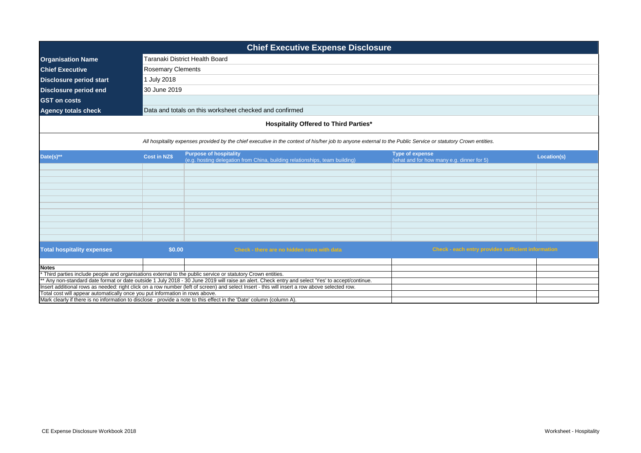|                                                                              | <b>Chief Executive Expense Disclosure</b>    |                                                                                                                                                              |                                                                     |             |  |  |  |  |
|------------------------------------------------------------------------------|----------------------------------------------|--------------------------------------------------------------------------------------------------------------------------------------------------------------|---------------------------------------------------------------------|-------------|--|--|--|--|
| <b>Organisation Name</b>                                                     |                                              | Taranaki District Health Board                                                                                                                               |                                                                     |             |  |  |  |  |
| <b>Chief Executive</b>                                                       | <b>Rosemary Clements</b>                     |                                                                                                                                                              |                                                                     |             |  |  |  |  |
| <b>Disclosure period start</b>                                               | 1 July 2018                                  |                                                                                                                                                              |                                                                     |             |  |  |  |  |
| <b>Disclosure period end</b>                                                 | 30 June 2019                                 |                                                                                                                                                              |                                                                     |             |  |  |  |  |
|                                                                              |                                              |                                                                                                                                                              |                                                                     |             |  |  |  |  |
| <b>GST on costs</b>                                                          |                                              |                                                                                                                                                              |                                                                     |             |  |  |  |  |
| <b>Agency totals check</b>                                                   |                                              | Data and totals on this worksheet checked and confirmed                                                                                                      |                                                                     |             |  |  |  |  |
|                                                                              | <b>Hospitality Offered to Third Parties*</b> |                                                                                                                                                              |                                                                     |             |  |  |  |  |
|                                                                              |                                              | All hospitality expenses provided by the chief executive in the context of his/her job to anyone external to the Public Service or statutory Crown entities. |                                                                     |             |  |  |  |  |
| Date(s)**                                                                    | <b>Cost in NZ\$</b>                          | <b>Purpose of hospitality</b><br>(e.g. hosting delegation from China, building relationships, team building)                                                 | <b>Type of expense</b><br>(what and for how many e.g. dinner for 5) | Location(s) |  |  |  |  |
|                                                                              |                                              |                                                                                                                                                              |                                                                     |             |  |  |  |  |
|                                                                              |                                              |                                                                                                                                                              |                                                                     |             |  |  |  |  |
|                                                                              |                                              |                                                                                                                                                              |                                                                     |             |  |  |  |  |
|                                                                              |                                              |                                                                                                                                                              |                                                                     |             |  |  |  |  |
|                                                                              |                                              |                                                                                                                                                              |                                                                     |             |  |  |  |  |
|                                                                              |                                              |                                                                                                                                                              |                                                                     |             |  |  |  |  |
|                                                                              |                                              |                                                                                                                                                              |                                                                     |             |  |  |  |  |
|                                                                              |                                              |                                                                                                                                                              |                                                                     |             |  |  |  |  |
|                                                                              |                                              |                                                                                                                                                              |                                                                     |             |  |  |  |  |
| <b>Total hospitality expenses</b>                                            | \$0.00                                       | Check - there are no hidden rows with data                                                                                                                   | Check - each entry provides sufficient information                  |             |  |  |  |  |
|                                                                              |                                              |                                                                                                                                                              |                                                                     |             |  |  |  |  |
| <b>Notes</b>                                                                 |                                              | Third parties include people and organisations external to the public service or statutory Crown entities.                                                   |                                                                     |             |  |  |  |  |
|                                                                              |                                              | * Any non-standard date format or date outside 1 July 2018 - 30 June 2019 will raise an alert. Check entry and select 'Yes' to accept/continue.              |                                                                     |             |  |  |  |  |
|                                                                              |                                              | Insert additional rows as needed: right click on a row number (left of screen) and select Insert - this will insert a row above selected row.                |                                                                     |             |  |  |  |  |
| Total cost will appear automatically once you put information in rows above. |                                              |                                                                                                                                                              |                                                                     |             |  |  |  |  |
|                                                                              |                                              | Mark clearly if there is no information to disclose - provide a note to this effect in the 'Date' column (column A).                                         |                                                                     |             |  |  |  |  |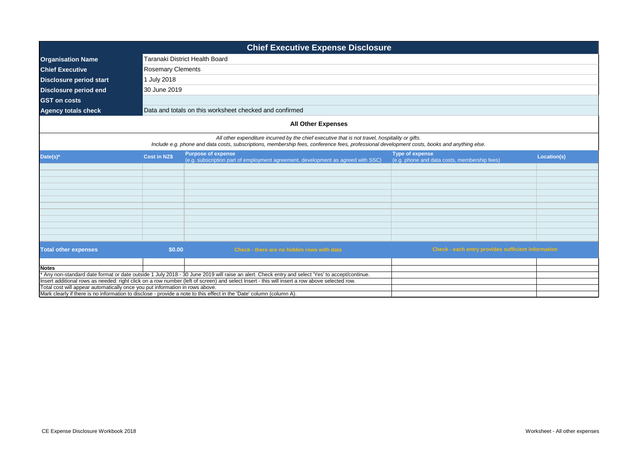| <b>Chief Executive Expense Disclosure</b>                                    |                          |                                                                                                                                                                                                                                                 |                                                                        |             |  |  |  |  |
|------------------------------------------------------------------------------|--------------------------|-------------------------------------------------------------------------------------------------------------------------------------------------------------------------------------------------------------------------------------------------|------------------------------------------------------------------------|-------------|--|--|--|--|
| <b>Organisation Name</b>                                                     |                          | Taranaki District Health Board                                                                                                                                                                                                                  |                                                                        |             |  |  |  |  |
| <b>Chief Executive</b>                                                       | <b>Rosemary Clements</b> |                                                                                                                                                                                                                                                 |                                                                        |             |  |  |  |  |
| <b>Disclosure period start</b>                                               | 1 July 2018              |                                                                                                                                                                                                                                                 |                                                                        |             |  |  |  |  |
| <b>Disclosure period end</b>                                                 | 30 June 2019             |                                                                                                                                                                                                                                                 |                                                                        |             |  |  |  |  |
| <b>GST</b> on costs                                                          |                          |                                                                                                                                                                                                                                                 |                                                                        |             |  |  |  |  |
| <b>Agency totals check</b>                                                   |                          | Data and totals on this worksheet checked and confirmed                                                                                                                                                                                         |                                                                        |             |  |  |  |  |
|                                                                              |                          |                                                                                                                                                                                                                                                 |                                                                        |             |  |  |  |  |
|                                                                              |                          | <b>All Other Expenses</b>                                                                                                                                                                                                                       |                                                                        |             |  |  |  |  |
|                                                                              |                          | All other expenditure incurred by the chief executive that is not travel, hospitality or gifts.<br>Include e.g. phone and data costs, subscriptions, membership fees, conference fees, professional development costs, books and anything else. |                                                                        |             |  |  |  |  |
| Date(s)*                                                                     | <b>Cost in NZ\$</b>      | <b>Purpose of expense</b><br>(e.g. subscription part of employment agreement, development as agreed with SSC)                                                                                                                                   | <b>Type of expense</b><br>(e.g. phone and data costs, membership fees) | Location(s) |  |  |  |  |
|                                                                              |                          |                                                                                                                                                                                                                                                 |                                                                        |             |  |  |  |  |
|                                                                              |                          |                                                                                                                                                                                                                                                 |                                                                        |             |  |  |  |  |
|                                                                              |                          |                                                                                                                                                                                                                                                 |                                                                        |             |  |  |  |  |
|                                                                              |                          |                                                                                                                                                                                                                                                 |                                                                        |             |  |  |  |  |
|                                                                              |                          |                                                                                                                                                                                                                                                 |                                                                        |             |  |  |  |  |
|                                                                              |                          |                                                                                                                                                                                                                                                 |                                                                        |             |  |  |  |  |
|                                                                              |                          |                                                                                                                                                                                                                                                 |                                                                        |             |  |  |  |  |
|                                                                              |                          |                                                                                                                                                                                                                                                 |                                                                        |             |  |  |  |  |
|                                                                              |                          |                                                                                                                                                                                                                                                 |                                                                        |             |  |  |  |  |
| <b>Total other expenses</b>                                                  | \$0.00                   | Check - there are no hidden rows with data                                                                                                                                                                                                      | Check - each entry provides sufficient information                     |             |  |  |  |  |
|                                                                              |                          |                                                                                                                                                                                                                                                 |                                                                        |             |  |  |  |  |
| <b>Notes</b>                                                                 |                          | Any non-standard date format or date outside 1 July 2018 - 30 June 2019 will raise an alert. Check entry and select 'Yes' to accept/continue.                                                                                                   |                                                                        |             |  |  |  |  |
|                                                                              |                          | Insert additional rows as needed: right click on a row number (left of screen) and select Insert - this will insert a row above selected row.                                                                                                   |                                                                        |             |  |  |  |  |
| Total cost will appear automatically once you put information in rows above. |                          |                                                                                                                                                                                                                                                 |                                                                        |             |  |  |  |  |
|                                                                              |                          | Mark clearly if there is no information to disclose - provide a note to this effect in the 'Date' column (column A).                                                                                                                            |                                                                        |             |  |  |  |  |